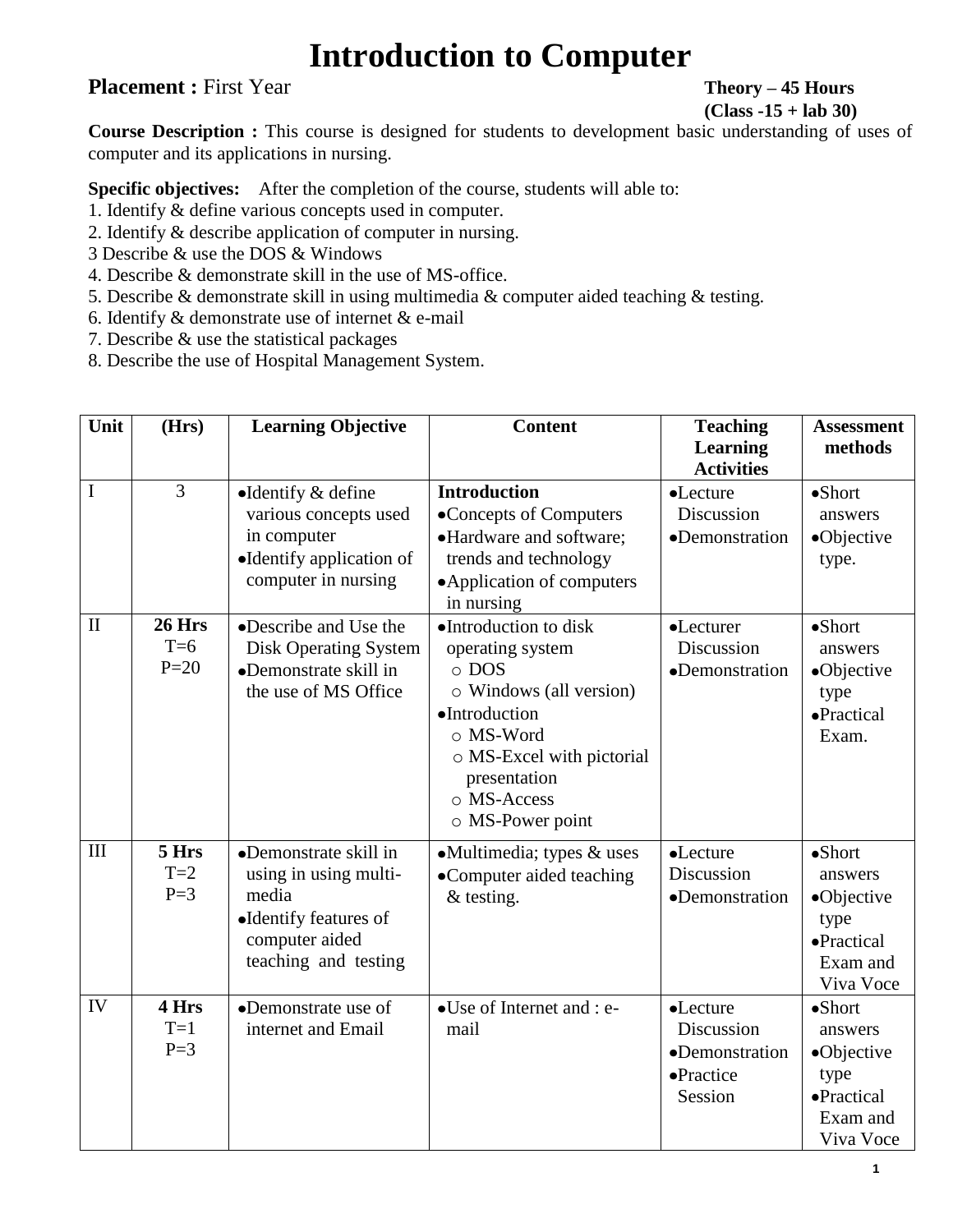## **Introduction to Computer**

## **Placement :** First Year **Theory – 45 Hours**

**(Class -15 + lab 30)**

**Course Description :** This course is designed for students to development basic understanding of uses of computer and its applications in nursing.

**Specific objectives:** After the completion of the course, students will able to:

- 1. Identify & define various concepts used in computer.
- 2. Identify & describe application of computer in nursing.
- 3 Describe & use the DOS & Windows
- 4. Describe & demonstrate skill in the use of MS-office.
- 5. Describe & demonstrate skill in using multimedia & computer aided teaching & testing.
- 6. Identify  $&$  demonstrate use of internet  $&$  e-mail
- 7. Describe & use the statistical packages
- 8. Describe the use of Hospital Management System.

| Unit         | (Hrs)                            | <b>Learning Objective</b>                                                                                                  | <b>Content</b>                                                                                                                                                                                    | <b>Teaching</b><br><b>Learning</b><br><b>Activities</b>          | <b>Assessment</b><br>methods                                                            |
|--------------|----------------------------------|----------------------------------------------------------------------------------------------------------------------------|---------------------------------------------------------------------------------------------------------------------------------------------------------------------------------------------------|------------------------------------------------------------------|-----------------------------------------------------------------------------------------|
| I            | $\overline{3}$                   | $\bullet$ Identify & define<br>various concepts used<br>in computer<br>•Identify application of<br>computer in nursing     | <b>Introduction</b><br>•Concepts of Computers<br>•Hardware and software;<br>trends and technology<br>• Application of computers<br>in nursing                                                     | •Lecture<br>Discussion<br>•Demonstration                         | $\bullet$ Short<br>answers<br>•Objective<br>type.                                       |
| $\mathbf{I}$ | <b>26 Hrs</b><br>$T=6$<br>$P=20$ | •Describe and Use the<br><b>Disk Operating System</b><br>•Demonstrate skill in<br>the use of MS Office                     | •Introduction to disk<br>operating system<br>$\circ$ DOS<br>o Windows (all version)<br>·Introduction<br>o MS-Word<br>o MS-Excel with pictorial<br>presentation<br>o MS-Access<br>o MS-Power point | •Lecturer<br>Discussion<br>•Demonstration                        | $\bullet$ Short<br>answers<br>•Objective<br>type<br>•Practical<br>Exam.                 |
| III          | 5 Hrs<br>$T=2$<br>$P=3$          | •Demonstrate skill in<br>using in using multi-<br>media<br>•Identify features of<br>computer aided<br>teaching and testing | $\bullet$ Multimedia; types & uses<br>•Computer aided teaching<br>$&$ testing.                                                                                                                    | •Lecture<br>Discussion<br>•Demonstration                         | $\bullet$ Short<br>answers<br>•Objective<br>type<br>•Practical<br>Exam and<br>Viva Voce |
| IV           | 4 Hrs<br>$T=1$<br>$P=3$          | •Demonstrate use of<br>internet and Email                                                                                  | •Use of Internet and : e-<br>mail                                                                                                                                                                 | •Lecture<br>Discussion<br>•Demonstration<br>•Practice<br>Session | $\bullet$ Short<br>answers<br>•Objective<br>type<br>•Practical<br>Exam and<br>Viva Voce |